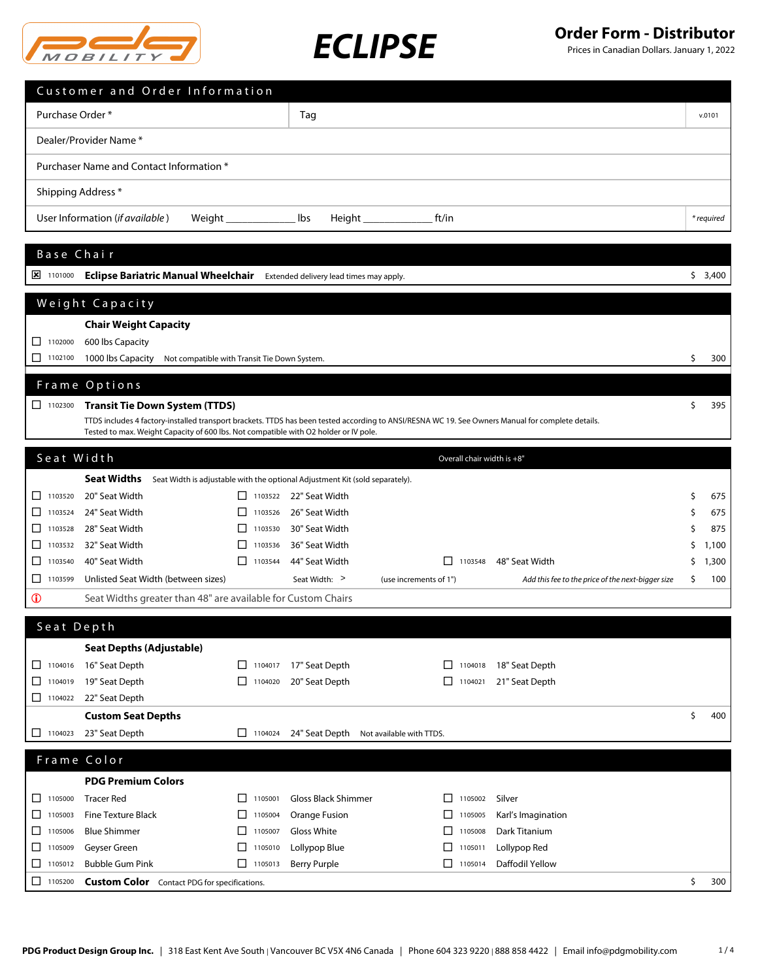



|                                          | Customer and Order Information                                                                                                                                                                                                            |                |                     |                                         |                            |                                                   |    |            |
|------------------------------------------|-------------------------------------------------------------------------------------------------------------------------------------------------------------------------------------------------------------------------------------------|----------------|---------------------|-----------------------------------------|----------------------------|---------------------------------------------------|----|------------|
| Purchase Order*                          |                                                                                                                                                                                                                                           |                | Tag                 |                                         |                            |                                                   |    | v.0101     |
|                                          | Dealer/Provider Name*                                                                                                                                                                                                                     |                |                     |                                         |                            |                                                   |    |            |
| Purchaser Name and Contact Information * |                                                                                                                                                                                                                                           |                |                     |                                         |                            |                                                   |    |            |
| Shipping Address *                       |                                                                                                                                                                                                                                           |                |                     |                                         |                            |                                                   |    |            |
|                                          | User Information (if available)                                                                                                                                                                                                           |                | lbs                 |                                         | ft/in                      |                                                   |    | * required |
|                                          |                                                                                                                                                                                                                                           |                |                     |                                         |                            |                                                   |    |            |
| Base Chair                               |                                                                                                                                                                                                                                           |                |                     |                                         |                            |                                                   |    |            |
| $\frac{1}{2}$ 1101000                    | Eclipse Bariatric Manual Wheelchair Extended delivery lead times may apply.                                                                                                                                                               |                |                     |                                         |                            |                                                   |    | \$3,400    |
|                                          | Weight Capacity                                                                                                                                                                                                                           |                |                     |                                         |                            |                                                   |    |            |
|                                          | <b>Chair Weight Capacity</b>                                                                                                                                                                                                              |                |                     |                                         |                            |                                                   |    |            |
| $\Box$ 1102000                           | 600 lbs Capacity                                                                                                                                                                                                                          |                |                     |                                         |                            |                                                   |    |            |
| $\Box$ 1102100                           | 1000 lbs Capacity<br>Not compatible with Transit Tie Down System.                                                                                                                                                                         |                |                     |                                         |                            |                                                   | Ś  | 300        |
|                                          | Frame Options                                                                                                                                                                                                                             |                |                     |                                         |                            |                                                   |    |            |
| $\Box$ 1102300                           | <b>Transit Tie Down System (TTDS)</b>                                                                                                                                                                                                     |                |                     |                                         |                            |                                                   | \$ | 395        |
|                                          | TTDS includes 4 factory-installed transport brackets. TTDS has been tested according to ANSI/RESNA WC 19. See Owners Manual for complete details.<br>Tested to max. Weight Capacity of 600 lbs. Not compatible with O2 holder or IV pole. |                |                     |                                         |                            |                                                   |    |            |
|                                          |                                                                                                                                                                                                                                           |                |                     |                                         |                            |                                                   |    |            |
| Seat Width                               |                                                                                                                                                                                                                                           |                |                     |                                         | Overall chair width is +8" |                                                   |    |            |
|                                          | <b>Seat Widths</b><br>Seat Width is adjustable with the optional Adjustment Kit (sold separately).                                                                                                                                        |                |                     |                                         |                            |                                                   |    |            |
| $\Box$ 1103520                           | 20" Seat Width                                                                                                                                                                                                                            | $\Box$ 1103522 | 22" Seat Width      |                                         |                            |                                                   | \$ | 675        |
| $\Box$<br>1103524                        | 24" Seat Width                                                                                                                                                                                                                            | 1103526        | 26" Seat Width      |                                         |                            |                                                   | S  | 675        |
| 1103528<br>ப                             | 28" Seat Width                                                                                                                                                                                                                            | 1103530        | 30" Seat Width      |                                         |                            |                                                   | Ś  | 875        |
| 1103532<br>$\perp$                       | 32" Seat Width                                                                                                                                                                                                                            | 1103536        | 36" Seat Width      |                                         |                            |                                                   | S  | 1,100      |
| ⊔<br>1103540                             | 40" Seat Width                                                                                                                                                                                                                            | П<br>1103544   | 44" Seat Width      |                                         | $\Box$ 1103548             | 48" Seat Width                                    | \$ | 1,300      |
| $\Box$<br>1103599                        | Unlisted Seat Width (between sizes)                                                                                                                                                                                                       |                | Seat Width: >       | (use increments of 1")                  |                            | Add this fee to the price of the next-bigger size | \$ | 100        |
| $\mathbf 0$                              | Seat Widths greater than 48" are available for Custom Chairs                                                                                                                                                                              |                |                     |                                         |                            |                                                   |    |            |
| Seat Depth                               |                                                                                                                                                                                                                                           |                |                     |                                         |                            |                                                   |    |            |
|                                          | <b>Seat Depths (Adjustable)</b>                                                                                                                                                                                                           |                |                     |                                         |                            |                                                   |    |            |
| 1104016                                  | 16" Seat Depth                                                                                                                                                                                                                            | $\Box$ 1104017 | 17" Seat Depth      |                                         | $\Box$ 1104018             | 18" Seat Depth                                    |    |            |
| $\Box$ 1104019                           | 19" Seat Depth                                                                                                                                                                                                                            | $\Box$ 1104020 | 20" Seat Depth      |                                         | $\Box$ 1104021             | 21" Seat Depth                                    |    |            |
| $\Box$ 1104022                           | 22" Seat Depth                                                                                                                                                                                                                            |                |                     |                                         |                            |                                                   |    |            |
|                                          | <b>Custom Seat Depths</b>                                                                                                                                                                                                                 |                |                     |                                         |                            |                                                   | \$ | 400        |
| $\Box$ 1104023                           | 23" Seat Depth                                                                                                                                                                                                                            | 1104024        |                     | 24" Seat Depth Not available with TTDS. |                            |                                                   |    |            |
| Frame Color                              |                                                                                                                                                                                                                                           |                |                     |                                         |                            |                                                   |    |            |
|                                          | <b>PDG Premium Colors</b>                                                                                                                                                                                                                 |                |                     |                                         |                            |                                                   |    |            |
| 1105000                                  | <b>Tracer Red</b>                                                                                                                                                                                                                         | 1105001<br>П   | Gloss Black Shimmer |                                         | $\Box$ 1105002             | Silver                                            |    |            |
| $\Box$ 1105003                           | <b>Fine Texture Black</b>                                                                                                                                                                                                                 | 1105004<br>ப   | Orange Fusion       |                                         | $\Box$ 1105005             | Karl's Imagination                                |    |            |
| $\Box$<br>1105006                        | <b>Blue Shimmer</b>                                                                                                                                                                                                                       | П<br>1105007   | <b>Gloss White</b>  |                                         | $\Box$<br>1105008          | Dark Titanium                                     |    |            |
| $\Box$ 1105009                           | Geyser Green                                                                                                                                                                                                                              | 1105010<br>ΙI  | Lollypop Blue       |                                         | □<br>1105011               | Lollypop Red                                      |    |            |
| $\Box$ 1105012                           | <b>Bubble Gum Pink</b>                                                                                                                                                                                                                    | П<br>1105013   | <b>Berry Purple</b> |                                         | $\Box$ 1105014             | Daffodil Yellow                                   |    |            |
| $\Box$ 1105200                           | <b>Custom Color</b> Contact PDG for specifications.                                                                                                                                                                                       |                |                     |                                         |                            |                                                   | \$ | 300        |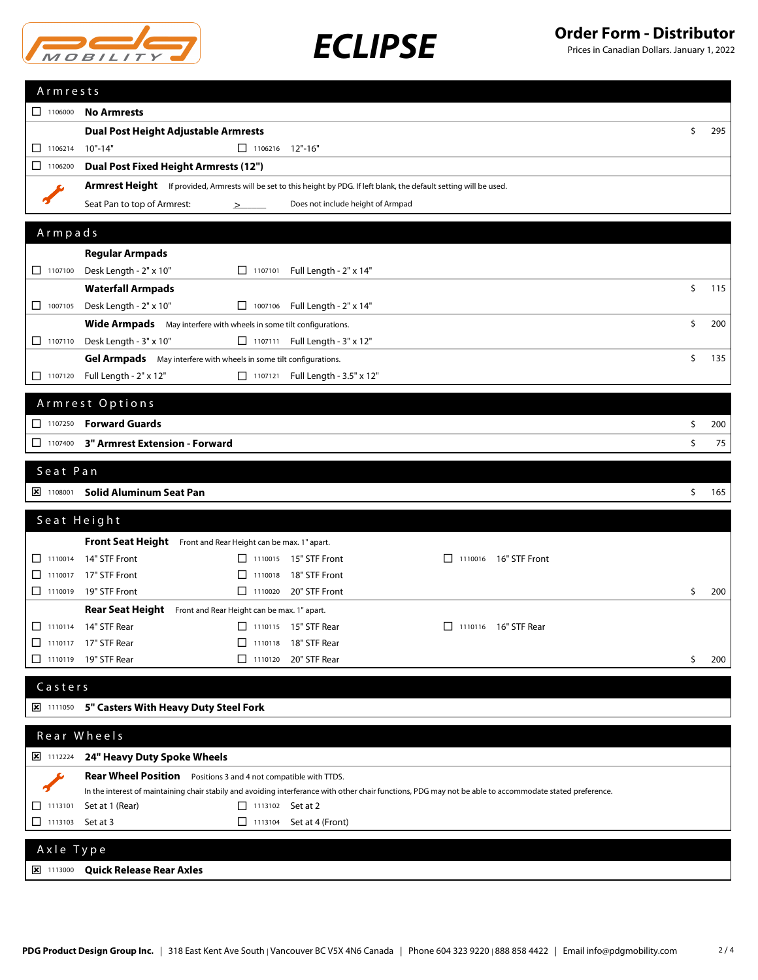



| Armrests                         |                                                                                                                                                          |           |
|----------------------------------|----------------------------------------------------------------------------------------------------------------------------------------------------------|-----------|
| 1106000                          | <b>No Armrests</b>                                                                                                                                       |           |
|                                  | Dual Post Height Adjustable Armrests                                                                                                                     | \$<br>295 |
| 1106214                          | $10" - 14"$<br>$\Box$ 1106216 12"-16"                                                                                                                    |           |
| □<br>1106200                     | <b>Dual Post Fixed Height Armrests (12")</b>                                                                                                             |           |
|                                  | Armrest Height If provided, Armrests will be set to this height by PDG. If left blank, the default setting will be used.                                 |           |
|                                  | Seat Pan to top of Armrest:<br>Does not include height of Armpad<br>≥                                                                                    |           |
| Armpads                          |                                                                                                                                                          |           |
|                                  |                                                                                                                                                          |           |
| $\Box$ 1107100                   | <b>Regular Armpads</b><br>Desk Length - 2" x 10"<br>□ 1107101 Full Length - 2" x 14"                                                                     |           |
|                                  | <b>Waterfall Armpads</b>                                                                                                                                 | \$<br>115 |
| 1007105                          | Desk Length - 2" x 10"<br>□ 1007106 Full Length - 2" x 14"                                                                                               |           |
|                                  | <b>Wide Armpads</b> May interfere with wheels in some tilt configurations.                                                                               | \$<br>200 |
| $\Box$ 1107110                   | □ 1107111 Full Length - 3" x 12"<br>Desk Length - 3" x 10"                                                                                               |           |
|                                  | Gel Armpads May interfere with wheels in some tilt configurations.                                                                                       | \$<br>135 |
| $\Box$ 1107120                   | Full Length - 2" x 12"<br>□ 1107121 Full Length - 3.5" x 12"                                                                                             |           |
|                                  |                                                                                                                                                          |           |
|                                  | Armrest Options                                                                                                                                          |           |
|                                  | 1107250 Forward Guards                                                                                                                                   | \$<br>200 |
|                                  | 1107400 3" Armrest Extension - Forward                                                                                                                   | \$<br>75  |
| Seat Pan                         |                                                                                                                                                          |           |
| $\frac{1}{2}$ 1108001            | Solid Aluminum Seat Pan                                                                                                                                  | \$<br>165 |
|                                  | Seat Height                                                                                                                                              |           |
|                                  |                                                                                                                                                          |           |
| $\Box$ 1110014                   | Front Seat Height Front and Rear Height can be max. 1" apart.<br>14" STF Front<br>□ 1110015 15" STF Front<br>□ 1110016 16" STF Front                     |           |
| $\Box$ 1110017                   | 17" STF Front<br>18" STF Front<br>$\Box$ 1110018                                                                                                         |           |
|                                  | □ 1110019 19" STF Front<br>□ 1110020 20" STF Front                                                                                                       | \$<br>200 |
|                                  | Rear Seat Height Front and Rear Height can be max. 1" apart.                                                                                             |           |
|                                  | 1110114 14" STF Rear<br>□ 1110115 15" STF Rear<br>□ 1110116 16" STF Rear                                                                                 |           |
|                                  | $\Box$ 1110117 17" STF Rear<br>□ 1110118 18" STF Rear                                                                                                    |           |
|                                  | $\Box$ 1110119 19" STF Rear<br>□ 1110120 20" STF Rear                                                                                                    | \$<br>200 |
| Casters                          |                                                                                                                                                          |           |
|                                  | <b>E 1111050 5" Casters With Heavy Duty Steel Fork</b>                                                                                                   |           |
|                                  |                                                                                                                                                          |           |
|                                  | Rear Wheels                                                                                                                                              |           |
| $\overline{\mathbf{x}}$ 1112224  | 24" Heavy Duty Spoke Wheels                                                                                                                              |           |
|                                  | Rear Wheel Position Positions 3 and 4 not compatible with TTDS.                                                                                          |           |
|                                  | In the interest of maintaining chair stabily and avoiding interferance with other chair functions, PDG may not be able to accommodate stated preference. |           |
| $\Box$ 1113101<br>$\Box$ 1113103 | Set at 1 (Rear)<br>$\Box$ 1113102 Set at 2<br>1113104 Set at 4 (Front)                                                                                   |           |
|                                  | Set at 3                                                                                                                                                 |           |
| Axle Type                        |                                                                                                                                                          |           |
|                                  | <b>E 1113000 Quick Release Rear Axles</b>                                                                                                                |           |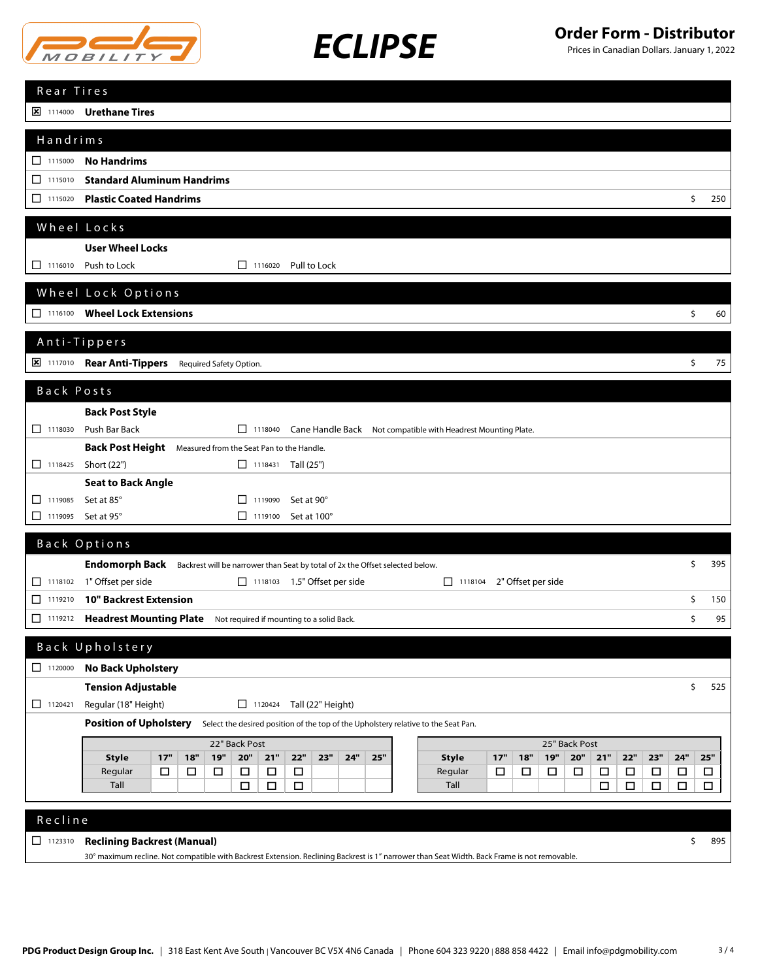

# *ECLIPSE* **Order Form - Distributor**

| Rear Tires                                                                                                                                                                                   |        |
|----------------------------------------------------------------------------------------------------------------------------------------------------------------------------------------------|--------|
| <b>E 1114000 Urethane Tires</b>                                                                                                                                                              |        |
| Handrims                                                                                                                                                                                     |        |
| $\Box$ 1115000<br><b>No Handrims</b>                                                                                                                                                         |        |
| <b>Standard Aluminum Handrims</b><br>$\Box$ 1115010                                                                                                                                          |        |
| $\Box$ 1115020<br><b>Plastic Coated Handrims</b><br>\$                                                                                                                                       | 250    |
|                                                                                                                                                                                              |        |
| Wheel Locks                                                                                                                                                                                  |        |
| <b>User Wheel Locks</b>                                                                                                                                                                      |        |
| $\Box$ 1116010<br>Push to Lock<br>1116020<br>Pull to Lock                                                                                                                                    |        |
| Wheel Lock Options                                                                                                                                                                           |        |
| 1116100 Wheel Lock Extensions<br>\$                                                                                                                                                          | 60     |
|                                                                                                                                                                                              |        |
| Anti-Tippers                                                                                                                                                                                 |        |
| 8 1117010 Rear Anti-Tippers Required Safety Option.<br>\$                                                                                                                                    | 75     |
| Back Posts                                                                                                                                                                                   |        |
| <b>Back Post Style</b>                                                                                                                                                                       |        |
| Push Bar Back<br>$\Box$ 1118030<br>□ 1118040 Cane Handle Back Not compatible with Headrest Mounting Plate.                                                                                   |        |
| <b>Back Post Height</b> Measured from the Seat Pan to the Handle.                                                                                                                            |        |
| 1118425<br>Short (22")<br>$\Box$ 1118431 Tall (25")                                                                                                                                          |        |
| <b>Seat to Back Angle</b>                                                                                                                                                                    |        |
| 1119085<br>Set at 85°<br>Set at 90°<br>П<br>$\Box$ 1119090                                                                                                                                   |        |
| Set at 95°<br>$\Box$ 1119095<br>$\Box$ 1119100<br>Set at 100°                                                                                                                                |        |
| Back Options                                                                                                                                                                                 |        |
| \$<br>Endomorph Back Backrest will be narrower than Seat by total of 2x the Offset selected below.                                                                                           | 395    |
| 1" Offset per side<br>$\Box$ 1118102<br>$\Box$ 1118103 1.5" Offset per side<br>2" Offset per side<br>$\Box$ 1118104                                                                          |        |
| $\Box$ 1119210<br><b>10" Backrest Extension</b><br>\$                                                                                                                                        | 150    |
| \$<br>□<br>1119212<br><b>Headrest Mounting Plate</b><br>Not required if mounting to a solid Back.                                                                                            | 95     |
|                                                                                                                                                                                              |        |
| Back Upholstery                                                                                                                                                                              |        |
| <b>No Back Upholstery</b><br>$\Box$ 1120000                                                                                                                                                  |        |
| \$<br><b>Tension Adjustable</b><br>Regular (18" Height)<br>1120424 Tall (22" Height)<br>$\Box$ 1120421                                                                                       | 525    |
| <b>Position of Upholstery</b><br>Select the desired position of the top of the Upholstery relative to the Seat Pan.                                                                          |        |
|                                                                                                                                                                                              |        |
| 25" Back Post<br>22" Back Post<br>17"<br>19"<br>20"<br>23"<br>25"<br>17"<br><b>19"</b><br>20"<br>22"<br>23"<br>24"<br><b>Style</b><br>18"<br>21"<br>22"<br>24"<br><b>Style</b><br>18"<br>21" | $25"$  |
| Regular<br>$\Box$<br>$\Box$<br>$\Box$<br>$\Box$<br>$\Box$<br>$\Box$<br>Regular<br>$\Box$<br>$\Box$<br>$\Box$<br>$\Box$<br>$\Box$<br>$\Box$<br>□<br>□                                         | $\Box$ |
| $\Box$<br>$\Box$<br>Tall<br>$\Box$<br>$\Box$<br>Tall<br>$\Box$<br>□<br>$\Box$                                                                                                                | $\Box$ |
|                                                                                                                                                                                              |        |
| Recline                                                                                                                                                                                      |        |
| $\Box$ 1123310<br><b>Reclining Backrest (Manual)</b><br>\$                                                                                                                                   | 895    |